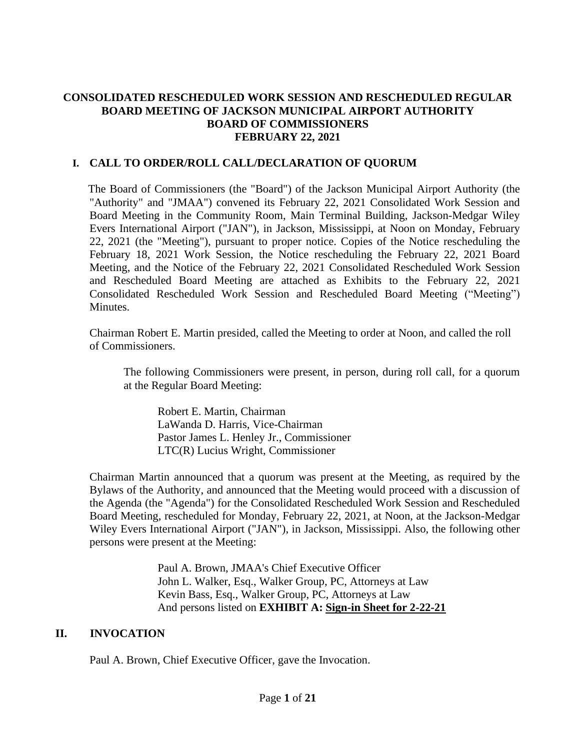### **CONSOLIDATED RESCHEDULED WORK SESSION AND RESCHEDULED REGULAR BOARD MEETING OF JACKSON MUNICIPAL AIRPORT AUTHORITY BOARD OF COMMISSIONERS FEBRUARY 22, 2021**

#### **I. CALL TO ORDER/ROLL CALL/DECLARATION OF QUORUM**

The Board of Commissioners (the "Board") of the Jackson Municipal Airport Authority (the "Authority" and "JMAA") convened its February 22, 2021 Consolidated Work Session and Board Meeting in the Community Room, Main Terminal Building, Jackson-Medgar Wiley Evers International Airport ("JAN"), in Jackson, Mississippi, at Noon on Monday, February 22, 2021 (the "Meeting"), pursuant to proper notice. Copies of the Notice rescheduling the February 18, 2021 Work Session, the Notice rescheduling the February 22, 2021 Board Meeting, and the Notice of the February 22, 2021 Consolidated Rescheduled Work Session and Rescheduled Board Meeting are attached as Exhibits to the February 22, 2021 Consolidated Rescheduled Work Session and Rescheduled Board Meeting ("Meeting") Minutes.

Chairman Robert E. Martin presided, called the Meeting to order at Noon, and called the roll of Commissioners.

The following Commissioners were present, in person, during roll call, for a quorum at the Regular Board Meeting:

Robert E. Martin, Chairman LaWanda D. Harris, Vice-Chairman Pastor James L. Henley Jr., Commissioner LTC(R) Lucius Wright, Commissioner

Chairman Martin announced that a quorum was present at the Meeting, as required by the Bylaws of the Authority, and announced that the Meeting would proceed with a discussion of the Agenda (the "Agenda") for the Consolidated Rescheduled Work Session and Rescheduled Board Meeting, rescheduled for Monday, February 22, 2021, at Noon, at the Jackson-Medgar Wiley Evers International Airport ("JAN"), in Jackson, Mississippi. Also, the following other persons were present at the Meeting:

> Paul A. Brown, JMAA's Chief Executive Officer John L. Walker, Esq., Walker Group, PC, Attorneys at Law Kevin Bass, Esq., Walker Group, PC, Attorneys at Law And persons listed on **EXHIBIT A: Sign[-in](file:///C:/Users/kevin/AppData/Local/Microsoft/Windows/Temporary%20Internet%20Files/2019-01-28%20Board%20Meeting/2017-07-27%20Board%20Meeting/2016-09-22%20Board%20Meeting/Rescheduled%20Regular%20Board%20Meeting%20Sign%20in%20Sheet%20August%2029%202016.pdf) Sheet for 2-22-21**

#### **II. INVOCATION**

Paul A. Brown, Chief Executive Officer, gave the Invocation.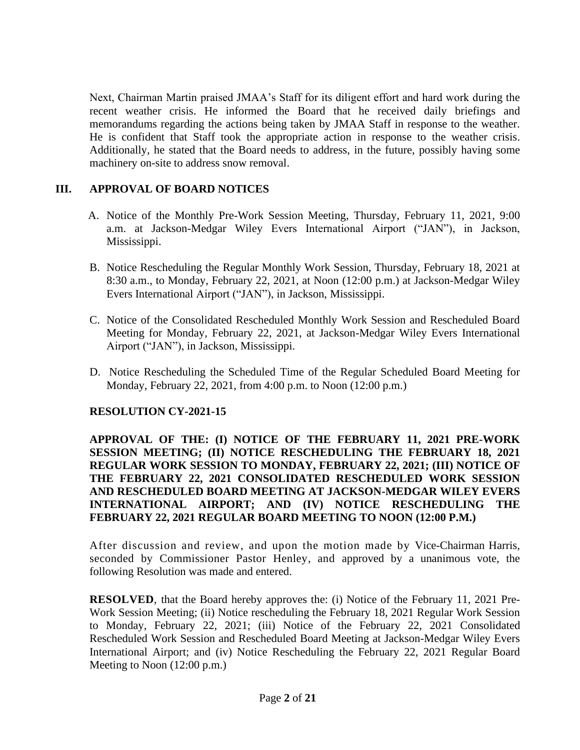Next, Chairman Martin praised JMAA's Staff for its diligent effort and hard work during the recent weather crisis. He informed the Board that he received daily briefings and memorandums regarding the actions being taken by JMAA Staff in response to the weather. He is confident that Staff took the appropriate action in response to the weather crisis. Additionally, he stated that the Board needs to address, in the future, possibly having some machinery on-site to address snow removal.

### **III. APPROVAL OF BOARD NOTICES**

- A. Notice of the Monthly Pre-Work Session Meeting, Thursday, February 11, 2021, 9:00 a.m. at Jackson-Medgar Wiley Evers International Airport ("JAN"), in Jackson, Mississippi.
- B. Notice Rescheduling the Regular Monthly Work Session, Thursday, February 18, 2021 at 8:30 a.m., to Monday, February 22, 2021, at Noon (12:00 p.m.) at Jackson-Medgar Wiley Evers International Airport ("JAN"), in Jackson, Mississippi.
- C. Notice of the Consolidated Rescheduled Monthly Work Session and Rescheduled Board Meeting for Monday, February 22, 2021, at Jackson-Medgar Wiley Evers International Airport ("JAN"), in Jackson, Mississippi.
- D. Notice Rescheduling the Scheduled Time of the Regular Scheduled Board Meeting for Monday, February 22, 2021, from 4:00 p.m. to Noon (12:00 p.m.)

### **RESOLUTION CY-2021-15**

**APPROVAL OF THE: (I) NOTICE OF THE FEBRUARY 11, 2021 PRE-WORK SESSION MEETING; (II) NOTICE RESCHEDULING THE FEBRUARY 18, 2021 REGULAR WORK SESSION TO MONDAY, FEBRUARY 22, 2021; (III) NOTICE OF THE FEBRUARY 22, 2021 CONSOLIDATED RESCHEDULED WORK SESSION AND RESCHEDULED BOARD MEETING AT JACKSON-MEDGAR WILEY EVERS INTERNATIONAL AIRPORT; AND (IV) NOTICE RESCHEDULING THE FEBRUARY 22, 2021 REGULAR BOARD MEETING TO NOON (12:00 P.M.)**

After discussion and review, and upon the motion made by Vice-Chairman Harris, seconded by Commissioner Pastor Henley, and approved by a unanimous vote, the following Resolution was made and entered.

**RESOLVED**, that the Board hereby approves the: (i) Notice of the February 11, 2021 Pre-Work Session Meeting; (ii) Notice rescheduling the February 18, 2021 Regular Work Session to Monday, February 22, 2021; (iii) Notice of the February 22, 2021 Consolidated Rescheduled Work Session and Rescheduled Board Meeting at Jackson-Medgar Wiley Evers International Airport; and (iv) Notice Rescheduling the February 22, 2021 Regular Board Meeting to Noon (12:00 p.m.)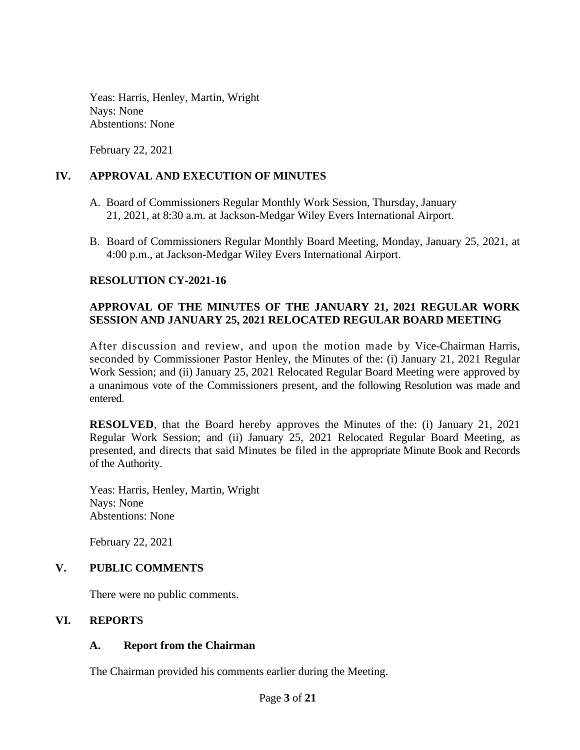Yeas: Harris, Henley, Martin, Wright Nays: None Abstentions: None

February 22, 2021

### **IV. APPROVAL AND EXECUTION OF MINUTES**

- A. Board of Commissioners Regular Monthly Work Session, Thursday, January 21, 2021, at 8:30 a.m. at Jackson-Medgar Wiley Evers International Airport.
- B. Board of Commissioners Regular Monthly Board Meeting, Monday, January 25, 2021, at 4:00 p.m., at Jackson-Medgar Wiley Evers International Airport.

### **RESOLUTION CY-2021-16**

### **APPROVAL OF THE MINUTES OF THE JANUARY 21, 2021 REGULAR WORK SESSION AND JANUARY 25, 2021 RELOCATED REGULAR BOARD MEETING**

After discussion and review, and upon the motion made by Vice-Chairman Harris, seconded by Commissioner Pastor Henley, the Minutes of the: (i) January 21, 2021 Regular Work Session; and (ii) January 25, 2021 Relocated Regular Board Meeting were approved by a unanimous vote of the Commissioners present, and the following Resolution was made and entered.

**RESOLVED**, that the Board hereby approves the Minutes of the: (i) January 21, 2021 Regular Work Session; and (ii) January 25, 2021 Relocated Regular Board Meeting, as presented, and directs that said Minutes be filed in the appropriate Minute Book and Records of the Authority.

Yeas: Harris, Henley, Martin, Wright Nays: None Abstentions: None

February 22, 2021

### **V. PUBLIC COMMENTS**

There were no public comments.

### **VI. REPORTS**

### **A. Report from the Chairman**

The Chairman provided his comments earlier during the Meeting.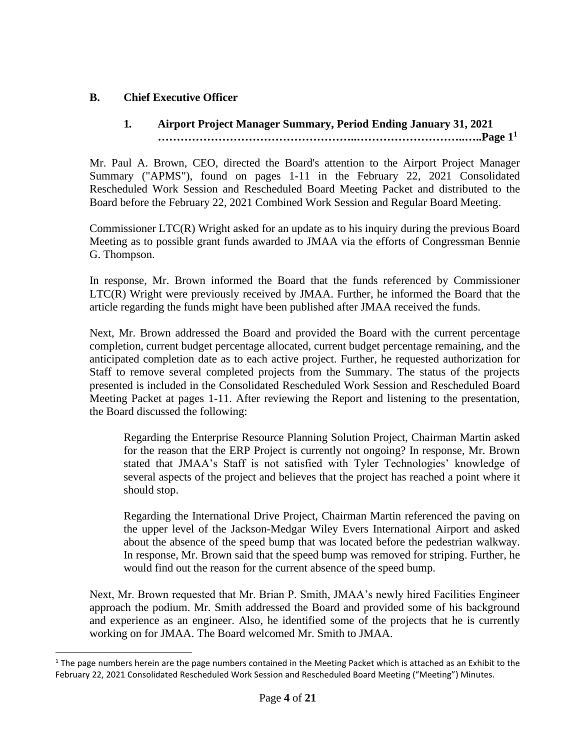### **B. Chief Executive Officer**

# **1***.* **Airport Project Manager Summary, Period Ending January 31, 2021 ……………………………………………..………………………..…..Page 1<sup>1</sup>**

Mr. Paul A. Brown, CEO, directed the Board's attention to the Airport Project Manager Summary ("APMS"), found on pages 1-11 in the February 22, 2021 Consolidated Rescheduled Work Session and Rescheduled Board Meeting Packet and distributed to the Board before the February 22, 2021 Combined Work Session and Regular Board Meeting.

Commissioner LTC(R) Wright asked for an update as to his inquiry during the previous Board Meeting as to possible grant funds awarded to JMAA via the efforts of Congressman Bennie G. Thompson.

In response, Mr. Brown informed the Board that the funds referenced by Commissioner LTC(R) Wright were previously received by JMAA. Further, he informed the Board that the article regarding the funds might have been published after JMAA received the funds.

Next, Mr. Brown addressed the Board and provided the Board with the current percentage completion, current budget percentage allocated, current budget percentage remaining, and the anticipated completion date as to each active project. Further, he requested authorization for Staff to remove several completed projects from the Summary. The status of the projects presented is included in the Consolidated Rescheduled Work Session and Rescheduled Board Meeting Packet at pages 1-11. After reviewing the Report and listening to the presentation, the Board discussed the following:

Regarding the Enterprise Resource Planning Solution Project, Chairman Martin asked for the reason that the ERP Project is currently not ongoing? In response, Mr. Brown stated that JMAA's Staff is not satisfied with Tyler Technologies' knowledge of several aspects of the project and believes that the project has reached a point where it should stop.

Regarding the International Drive Project, Chairman Martin referenced the paving on the upper level of the Jackson-Medgar Wiley Evers International Airport and asked about the absence of the speed bump that was located before the pedestrian walkway. In response, Mr. Brown said that the speed bump was removed for striping. Further, he would find out the reason for the current absence of the speed bump.

Next, Mr. Brown requested that Mr. Brian P. Smith, JMAA's newly hired Facilities Engineer approach the podium. Mr. Smith addressed the Board and provided some of his background and experience as an engineer. Also, he identified some of the projects that he is currently working on for JMAA. The Board welcomed Mr. Smith to JMAA.

 $1$  The page numbers herein are the page numbers contained in the Meeting Packet which is attached as an Exhibit to the February 22, 2021 Consolidated Rescheduled Work Session and Rescheduled Board Meeting ("Meeting") Minutes.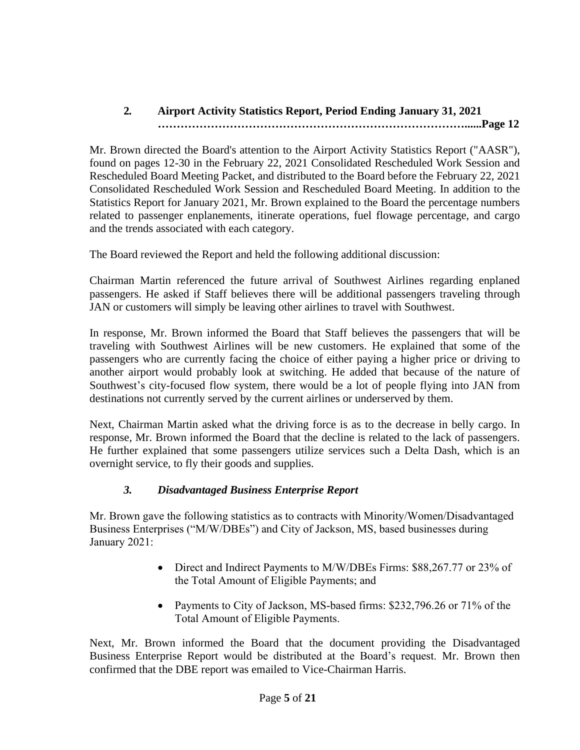#### **2***.* **Airport Activity Statistics Report, Period Ending January 31, 2021 ………………………………………………………………………......Page 12**

Mr. Brown directed the Board's attention to the Airport Activity Statistics Report ("AASR"), found on pages 12-30 in the February 22, 2021 Consolidated Rescheduled Work Session and Rescheduled Board Meeting Packet, and distributed to the Board before the February 22, 2021 Consolidated Rescheduled Work Session and Rescheduled Board Meeting. In addition to the Statistics Report for January 2021, Mr. Brown explained to the Board the percentage numbers related to passenger enplanements, itinerate operations, fuel flowage percentage, and cargo and the trends associated with each category.

The Board reviewed the Report and held the following additional discussion:

Chairman Martin referenced the future arrival of Southwest Airlines regarding enplaned passengers. He asked if Staff believes there will be additional passengers traveling through JAN or customers will simply be leaving other airlines to travel with Southwest.

In response, Mr. Brown informed the Board that Staff believes the passengers that will be traveling with Southwest Airlines will be new customers. He explained that some of the passengers who are currently facing the choice of either paying a higher price or driving to another airport would probably look at switching. He added that because of the nature of Southwest's city-focused flow system, there would be a lot of people flying into JAN from destinations not currently served by the current airlines or underserved by them.

Next, Chairman Martin asked what the driving force is as to the decrease in belly cargo. In response, Mr. Brown informed the Board that the decline is related to the lack of passengers. He further explained that some passengers utilize services such a Delta Dash, which is an overnight service, to fly their goods and supplies.

# *3. Disadvantaged Business Enterprise Report*

Mr. Brown gave the following statistics as to contracts with Minority/Women/Disadvantaged Business Enterprises ("M/W/DBEs") and City of Jackson, MS, based businesses during January 2021:

- Direct and Indirect Payments to M/W/DBEs Firms: \$88,267.77 or 23% of the Total Amount of Eligible Payments; and
- Payments to City of Jackson, MS-based firms: \$232,796.26 or 71% of the Total Amount of Eligible Payments.

Next, Mr. Brown informed the Board that the document providing the Disadvantaged Business Enterprise Report would be distributed at the Board's request. Mr. Brown then confirmed that the DBE report was emailed to Vice-Chairman Harris.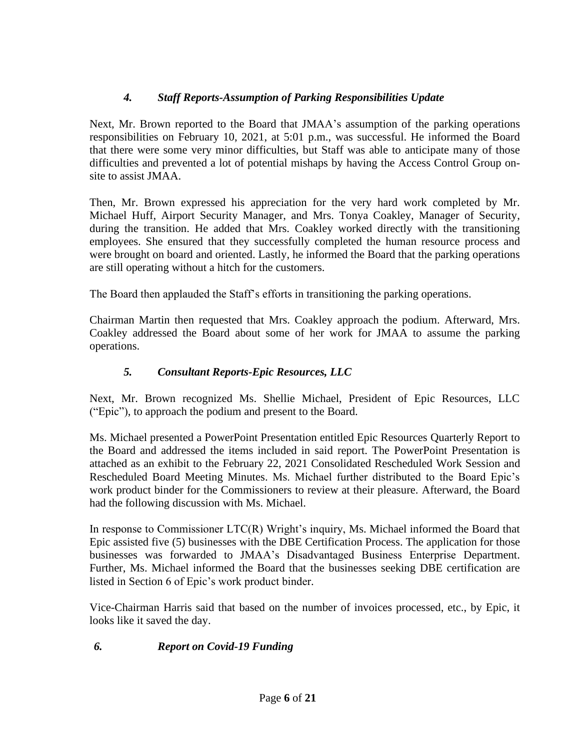# *4. Staff Reports-Assumption of Parking Responsibilities Update*

Next, Mr. Brown reported to the Board that JMAA's assumption of the parking operations responsibilities on February 10, 2021, at 5:01 p.m., was successful. He informed the Board that there were some very minor difficulties, but Staff was able to anticipate many of those difficulties and prevented a lot of potential mishaps by having the Access Control Group onsite to assist JMAA.

Then, Mr. Brown expressed his appreciation for the very hard work completed by Mr. Michael Huff, Airport Security Manager, and Mrs. Tonya Coakley, Manager of Security, during the transition. He added that Mrs. Coakley worked directly with the transitioning employees. She ensured that they successfully completed the human resource process and were brought on board and oriented. Lastly, he informed the Board that the parking operations are still operating without a hitch for the customers.

The Board then applauded the Staff's efforts in transitioning the parking operations.

Chairman Martin then requested that Mrs. Coakley approach the podium. Afterward, Mrs. Coakley addressed the Board about some of her work for JMAA to assume the parking operations.

### *5. Consultant Reports-Epic Resources, LLC*

Next, Mr. Brown recognized Ms. Shellie Michael, President of Epic Resources, LLC ("Epic"), to approach the podium and present to the Board.

Ms. Michael presented a PowerPoint Presentation entitled Epic Resources Quarterly Report to the Board and addressed the items included in said report. The PowerPoint Presentation is attached as an exhibit to the February 22, 2021 Consolidated Rescheduled Work Session and Rescheduled Board Meeting Minutes. Ms. Michael further distributed to the Board Epic's work product binder for the Commissioners to review at their pleasure. Afterward, the Board had the following discussion with Ms. Michael.

In response to Commissioner LTC(R) Wright's inquiry, Ms. Michael informed the Board that Epic assisted five (5) businesses with the DBE Certification Process. The application for those businesses was forwarded to JMAA's Disadvantaged Business Enterprise Department. Further, Ms. Michael informed the Board that the businesses seeking DBE certification are listed in Section 6 of Epic's work product binder.

Vice-Chairman Harris said that based on the number of invoices processed, etc., by Epic, it looks like it saved the day.

### *6. Report on Covid-19 Funding*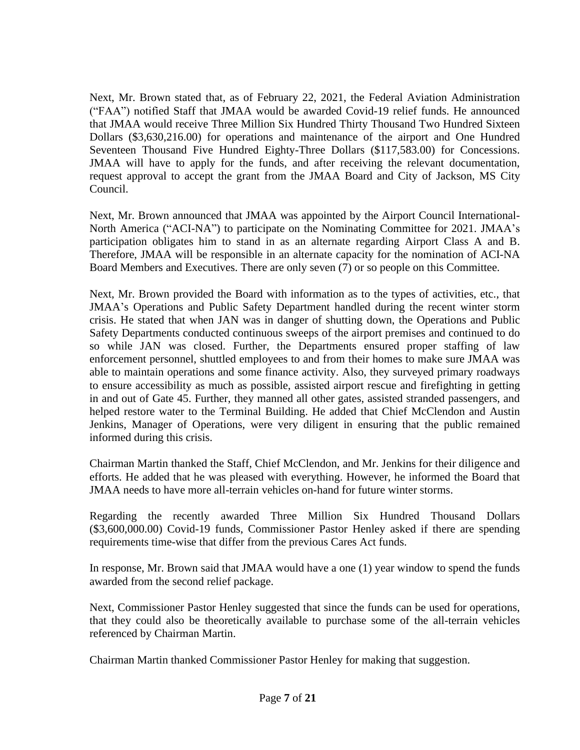Next, Mr. Brown stated that, as of February 22, 2021, the Federal Aviation Administration ("FAA") notified Staff that JMAA would be awarded Covid-19 relief funds. He announced that JMAA would receive Three Million Six Hundred Thirty Thousand Two Hundred Sixteen Dollars (\$3,630,216.00) for operations and maintenance of the airport and One Hundred Seventeen Thousand Five Hundred Eighty-Three Dollars (\$117,583.00) for Concessions. JMAA will have to apply for the funds, and after receiving the relevant documentation, request approval to accept the grant from the JMAA Board and City of Jackson, MS City Council.

Next, Mr. Brown announced that JMAA was appointed by the Airport Council International-North America ("ACI-NA") to participate on the Nominating Committee for 2021. JMAA's participation obligates him to stand in as an alternate regarding Airport Class A and B. Therefore, JMAA will be responsible in an alternate capacity for the nomination of ACI-NA Board Members and Executives. There are only seven (7) or so people on this Committee.

Next, Mr. Brown provided the Board with information as to the types of activities, etc., that JMAA's Operations and Public Safety Department handled during the recent winter storm crisis. He stated that when JAN was in danger of shutting down, the Operations and Public Safety Departments conducted continuous sweeps of the airport premises and continued to do so while JAN was closed. Further, the Departments ensured proper staffing of law enforcement personnel, shuttled employees to and from their homes to make sure JMAA was able to maintain operations and some finance activity. Also, they surveyed primary roadways to ensure accessibility as much as possible, assisted airport rescue and firefighting in getting in and out of Gate 45. Further, they manned all other gates, assisted stranded passengers, and helped restore water to the Terminal Building. He added that Chief McClendon and Austin Jenkins, Manager of Operations, were very diligent in ensuring that the public remained informed during this crisis.

Chairman Martin thanked the Staff, Chief McClendon, and Mr. Jenkins for their diligence and efforts. He added that he was pleased with everything. However, he informed the Board that JMAA needs to have more all-terrain vehicles on-hand for future winter storms.

Regarding the recently awarded Three Million Six Hundred Thousand Dollars (\$3,600,000.00) Covid-19 funds, Commissioner Pastor Henley asked if there are spending requirements time-wise that differ from the previous Cares Act funds.

In response, Mr. Brown said that JMAA would have a one (1) year window to spend the funds awarded from the second relief package.

Next, Commissioner Pastor Henley suggested that since the funds can be used for operations, that they could also be theoretically available to purchase some of the all-terrain vehicles referenced by Chairman Martin.

Chairman Martin thanked Commissioner Pastor Henley for making that suggestion.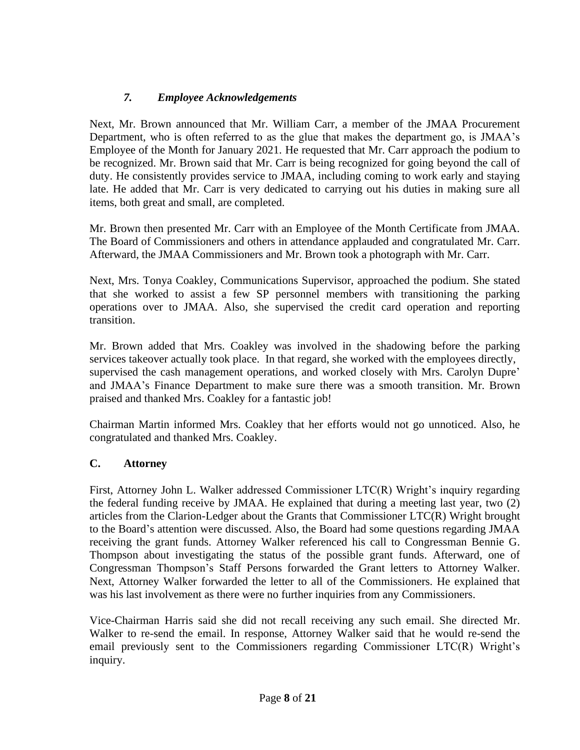# *7. Employee Acknowledgements*

Next, Mr. Brown announced that Mr. William Carr, a member of the JMAA Procurement Department, who is often referred to as the glue that makes the department go, is JMAA's Employee of the Month for January 2021. He requested that Mr. Carr approach the podium to be recognized. Mr. Brown said that Mr. Carr is being recognized for going beyond the call of duty. He consistently provides service to JMAA, including coming to work early and staying late. He added that Mr. Carr is very dedicated to carrying out his duties in making sure all items, both great and small, are completed.

Mr. Brown then presented Mr. Carr with an Employee of the Month Certificate from JMAA. The Board of Commissioners and others in attendance applauded and congratulated Mr. Carr. Afterward, the JMAA Commissioners and Mr. Brown took a photograph with Mr. Carr.

Next, Mrs. Tonya Coakley, Communications Supervisor, approached the podium. She stated that she worked to assist a few SP personnel members with transitioning the parking operations over to JMAA. Also, she supervised the credit card operation and reporting transition.

Mr. Brown added that Mrs. Coakley was involved in the shadowing before the parking services takeover actually took place. In that regard, she worked with the employees directly, supervised the cash management operations, and worked closely with Mrs. Carolyn Dupre' and JMAA's Finance Department to make sure there was a smooth transition. Mr. Brown praised and thanked Mrs. Coakley for a fantastic job!

Chairman Martin informed Mrs. Coakley that her efforts would not go unnoticed. Also, he congratulated and thanked Mrs. Coakley.

### **C. Attorney**

First, Attorney John L. Walker addressed Commissioner LTC(R) Wright's inquiry regarding the federal funding receive by JMAA. He explained that during a meeting last year, two (2) articles from the Clarion-Ledger about the Grants that Commissioner LTC(R) Wright brought to the Board's attention were discussed. Also, the Board had some questions regarding JMAA receiving the grant funds. Attorney Walker referenced his call to Congressman Bennie G. Thompson about investigating the status of the possible grant funds. Afterward, one of Congressman Thompson's Staff Persons forwarded the Grant letters to Attorney Walker. Next, Attorney Walker forwarded the letter to all of the Commissioners. He explained that was his last involvement as there were no further inquiries from any Commissioners.

Vice-Chairman Harris said she did not recall receiving any such email. She directed Mr. Walker to re-send the email. In response, Attorney Walker said that he would re-send the email previously sent to the Commissioners regarding Commissioner LTC(R) Wright's inquiry.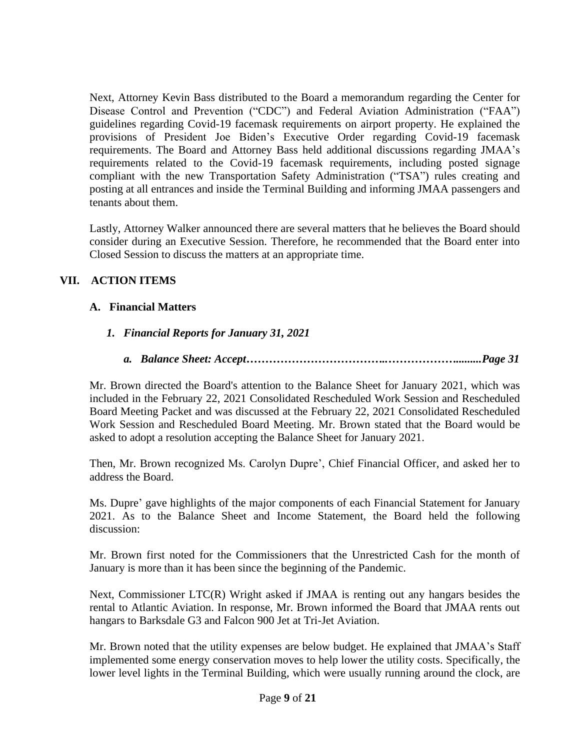Next, Attorney Kevin Bass distributed to the Board a memorandum regarding the Center for Disease Control and Prevention ("CDC") and Federal Aviation Administration ("FAA") guidelines regarding Covid-19 facemask requirements on airport property. He explained the provisions of President Joe Biden's Executive Order regarding Covid-19 facemask requirements. The Board and Attorney Bass held additional discussions regarding JMAA's requirements related to the Covid-19 facemask requirements, including posted signage compliant with the new Transportation Safety Administration ("TSA") rules creating and posting at all entrances and inside the Terminal Building and informing JMAA passengers and tenants about them.

Lastly, Attorney Walker announced there are several matters that he believes the Board should consider during an Executive Session. Therefore, he recommended that the Board enter into Closed Session to discuss the matters at an appropriate time.

# **VII. ACTION ITEMS**

### **A. Financial Matters**

# *1. Financial Reports for January 31, 2021*

*a. Balance Sheet: Accept………………………………..……………….........Page 31*

Mr. Brown directed the Board's attention to the Balance Sheet for January 2021, which was included in the February 22, 2021 Consolidated Rescheduled Work Session and Rescheduled Board Meeting Packet and was discussed at the February 22, 2021 Consolidated Rescheduled Work Session and Rescheduled Board Meeting. Mr. Brown stated that the Board would be asked to adopt a resolution accepting the Balance Sheet for January 2021.

Then, Mr. Brown recognized Ms. Carolyn Dupre', Chief Financial Officer, and asked her to address the Board.

Ms. Dupre' gave highlights of the major components of each Financial Statement for January 2021. As to the Balance Sheet and Income Statement, the Board held the following discussion:

Mr. Brown first noted for the Commissioners that the Unrestricted Cash for the month of January is more than it has been since the beginning of the Pandemic.

Next, Commissioner LTC(R) Wright asked if JMAA is renting out any hangars besides the rental to Atlantic Aviation. In response, Mr. Brown informed the Board that JMAA rents out hangars to Barksdale G3 and Falcon 900 Jet at Tri-Jet Aviation.

Mr. Brown noted that the utility expenses are below budget. He explained that JMAA's Staff implemented some energy conservation moves to help lower the utility costs. Specifically, the lower level lights in the Terminal Building, which were usually running around the clock, are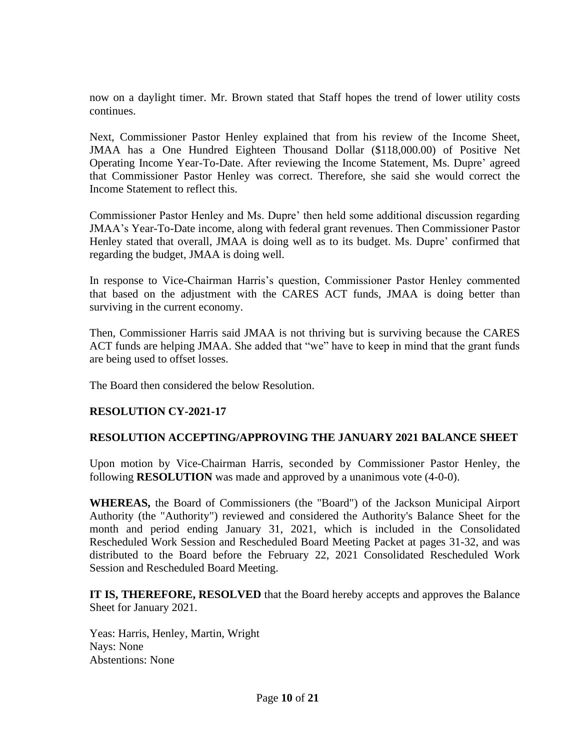now on a daylight timer. Mr. Brown stated that Staff hopes the trend of lower utility costs continues.

Next, Commissioner Pastor Henley explained that from his review of the Income Sheet, JMAA has a One Hundred Eighteen Thousand Dollar (\$118,000.00) of Positive Net Operating Income Year-To-Date. After reviewing the Income Statement, Ms. Dupre' agreed that Commissioner Pastor Henley was correct. Therefore, she said she would correct the Income Statement to reflect this.

Commissioner Pastor Henley and Ms. Dupre' then held some additional discussion regarding JMAA's Year-To-Date income, along with federal grant revenues. Then Commissioner Pastor Henley stated that overall, JMAA is doing well as to its budget. Ms. Dupre' confirmed that regarding the budget, JMAA is doing well.

In response to Vice-Chairman Harris's question, Commissioner Pastor Henley commented that based on the adjustment with the CARES ACT funds, JMAA is doing better than surviving in the current economy.

Then, Commissioner Harris said JMAA is not thriving but is surviving because the CARES ACT funds are helping JMAA. She added that "we" have to keep in mind that the grant funds are being used to offset losses.

The Board then considered the below Resolution.

### **RESOLUTION CY-2021-17**

### **RESOLUTION ACCEPTING/APPROVING THE JANUARY 2021 BALANCE SHEET**

Upon motion by Vice-Chairman Harris, seconded by Commissioner Pastor Henley, the following **RESOLUTION** was made and approved by a unanimous vote (4-0-0).

**WHEREAS,** the Board of Commissioners (the "Board") of the Jackson Municipal Airport Authority (the "Authority") reviewed and considered the Authority's Balance Sheet for the month and period ending January 31, 2021, which is included in the Consolidated Rescheduled Work Session and Rescheduled Board Meeting Packet at pages 31-32, and was distributed to the Board before the February 22, 2021 Consolidated Rescheduled Work Session and Rescheduled Board Meeting.

**IT IS, THEREFORE, RESOLVED** that the Board hereby accepts and approves the Balance Sheet for January 2021.

Yeas: Harris, Henley, Martin, Wright Nays: None Abstentions: None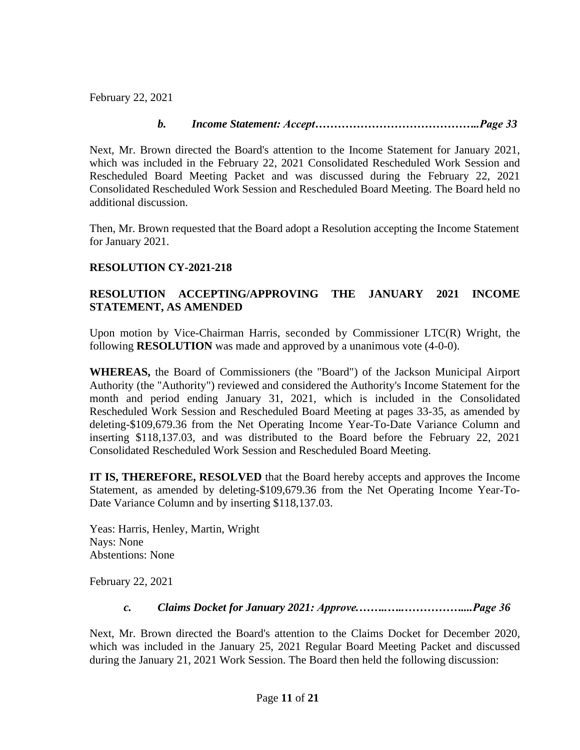February 22, 2021

### *b. Income Statement: Accept……………………………………..Page 33*

Next, Mr. Brown directed the Board's attention to the Income Statement for January 2021, which was included in the February 22, 2021 Consolidated Rescheduled Work Session and Rescheduled Board Meeting Packet and was discussed during the February 22, 2021 Consolidated Rescheduled Work Session and Rescheduled Board Meeting. The Board held no additional discussion.

Then, Mr. Brown requested that the Board adopt a Resolution accepting the Income Statement for January 2021.

# **RESOLUTION CY-2021-218**

### **RESOLUTION ACCEPTING/APPROVING THE JANUARY 2021 INCOME STATEMENT, AS AMENDED**

Upon motion by Vice-Chairman Harris, seconded by Commissioner LTC(R) Wright, the following **RESOLUTION** was made and approved by a unanimous vote (4-0-0).

**WHEREAS,** the Board of Commissioners (the "Board") of the Jackson Municipal Airport Authority (the "Authority") reviewed and considered the Authority's Income Statement for the month and period ending January 31, 2021, which is included in the Consolidated Rescheduled Work Session and Rescheduled Board Meeting at pages 33-35, as amended by deleting-\$109,679.36 from the Net Operating Income Year-To-Date Variance Column and inserting \$118,137.03, and was distributed to the Board before the February 22, 2021 Consolidated Rescheduled Work Session and Rescheduled Board Meeting.

**IT IS, THEREFORE, RESOLVED** that the Board hereby accepts and approves the Income Statement, as amended by deleting-\$109,679.36 from the Net Operating Income Year-To-Date Variance Column and by inserting \$118,137.03.

Yeas: Harris, Henley, Martin, Wright Nays: None Abstentions: None

February 22, 2021

### *c. Claims Docket for January 2021: Approve.……..…..……………....Page 36*

Next, Mr. Brown directed the Board's attention to the Claims Docket for December 2020, which was included in the January 25, 2021 Regular Board Meeting Packet and discussed during the January 21, 2021 Work Session. The Board then held the following discussion: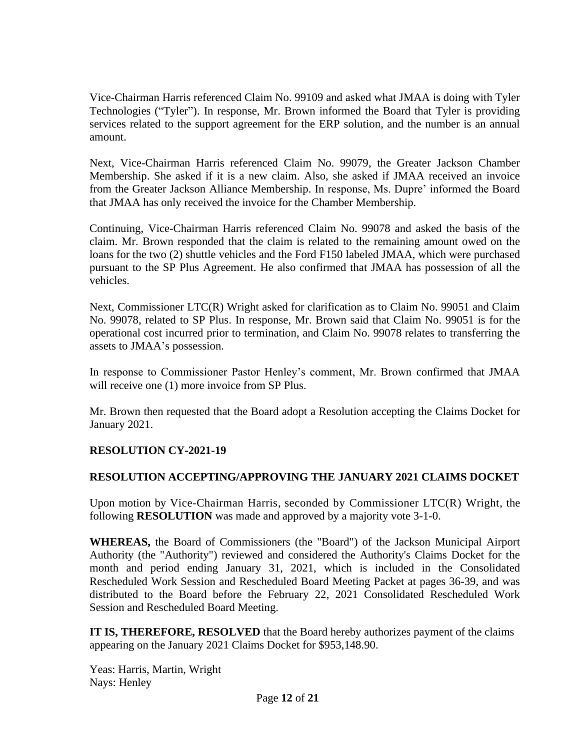Vice-Chairman Harris referenced Claim No. 99109 and asked what JMAA is doing with Tyler Technologies ("Tyler"). In response, Mr. Brown informed the Board that Tyler is providing services related to the support agreement for the ERP solution, and the number is an annual amount.

Next, Vice-Chairman Harris referenced Claim No. 99079, the Greater Jackson Chamber Membership. She asked if it is a new claim. Also, she asked if JMAA received an invoice from the Greater Jackson Alliance Membership. In response, Ms. Dupre' informed the Board that JMAA has only received the invoice for the Chamber Membership.

Continuing, Vice-Chairman Harris referenced Claim No. 99078 and asked the basis of the claim. Mr. Brown responded that the claim is related to the remaining amount owed on the loans for the two (2) shuttle vehicles and the Ford F150 labeled JMAA, which were purchased pursuant to the SP Plus Agreement. He also confirmed that JMAA has possession of all the vehicles.

Next, Commissioner LTC(R) Wright asked for clarification as to Claim No. 99051 and Claim No. 99078, related to SP Plus. In response, Mr. Brown said that Claim No. 99051 is for the operational cost incurred prior to termination, and Claim No. 99078 relates to transferring the assets to JMAA's possession.

In response to Commissioner Pastor Henley's comment, Mr. Brown confirmed that JMAA will receive one (1) more invoice from SP Plus.

Mr. Brown then requested that the Board adopt a Resolution accepting the Claims Docket for January 2021.

### **RESOLUTION CY-2021-19**

### **RESOLUTION ACCEPTING/APPROVING THE JANUARY 2021 CLAIMS DOCKET**

Upon motion by Vice-Chairman Harris, seconded by Commissioner LTC(R) Wright, the following **RESOLUTION** was made and approved by a majority vote 3-1-0.

**WHEREAS,** the Board of Commissioners (the "Board") of the Jackson Municipal Airport Authority (the "Authority") reviewed and considered the Authority's Claims Docket for the month and period ending January 31, 2021, which is included in the Consolidated Rescheduled Work Session and Rescheduled Board Meeting Packet at pages 36-39, and was distributed to the Board before the February 22, 2021 Consolidated Rescheduled Work Session and Rescheduled Board Meeting.

**IT IS, THEREFORE, RESOLVED** that the Board hereby authorizes payment of the claims appearing on the January 2021 Claims Docket for \$953,148.90.

Yeas: Harris, Martin, Wright Nays: Henley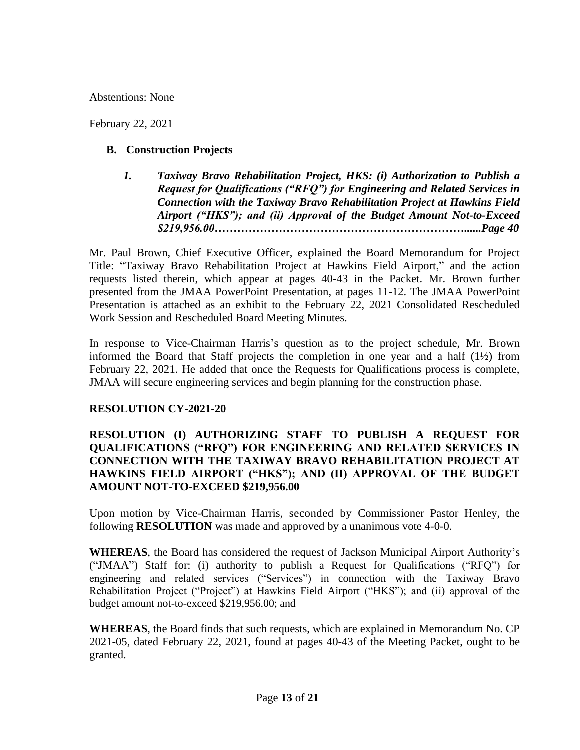Abstentions: None

February 22, 2021

### **B. Construction Projects**

*1. Taxiway Bravo Rehabilitation Project, HKS: (i) Authorization to Publish a Request for Qualifications ("RFQ") for Engineering and Related Services in Connection with the Taxiway Bravo Rehabilitation Project at Hawkins Field Airport ("HKS"); and (ii) Approval of the Budget Amount Not-to-Exceed \$219,956.00…………………………………………………………......Page 40*

Mr. Paul Brown, Chief Executive Officer, explained the Board Memorandum for Project Title: "Taxiway Bravo Rehabilitation Project at Hawkins Field Airport," and the action requests listed therein, which appear at pages 40-43 in the Packet. Mr. Brown further presented from the JMAA PowerPoint Presentation, at pages 11-12. The JMAA PowerPoint Presentation is attached as an exhibit to the February 22, 2021 Consolidated Rescheduled Work Session and Rescheduled Board Meeting Minutes.

In response to Vice-Chairman Harris's question as to the project schedule, Mr. Brown informed the Board that Staff projects the completion in one year and a half (1½) from February 22, 2021. He added that once the Requests for Qualifications process is complete, JMAA will secure engineering services and begin planning for the construction phase.

### **RESOLUTION CY-2021-20**

### **RESOLUTION (I) AUTHORIZING STAFF TO PUBLISH A REQUEST FOR QUALIFICATIONS ("RFQ") FOR ENGINEERING AND RELATED SERVICES IN CONNECTION WITH THE TAXIWAY BRAVO REHABILITATION PROJECT AT HAWKINS FIELD AIRPORT ("HKS"); AND (II) APPROVAL OF THE BUDGET AMOUNT NOT-TO-EXCEED \$219,956.00**

Upon motion by Vice-Chairman Harris, seconded by Commissioner Pastor Henley, the following **RESOLUTION** was made and approved by a unanimous vote 4-0-0.

**WHEREAS**, the Board has considered the request of Jackson Municipal Airport Authority's ("JMAA") Staff for: (i) authority to publish a Request for Qualifications ("RFQ") for engineering and related services ("Services") in connection with the Taxiway Bravo Rehabilitation Project ("Project") at Hawkins Field Airport ("HKS"); and (ii) approval of the budget amount not-to-exceed \$219,956.00; and

**WHEREAS**, the Board finds that such requests, which are explained in Memorandum No. CP 2021-05, dated February 22, 2021, found at pages 40-43 of the Meeting Packet, ought to be granted.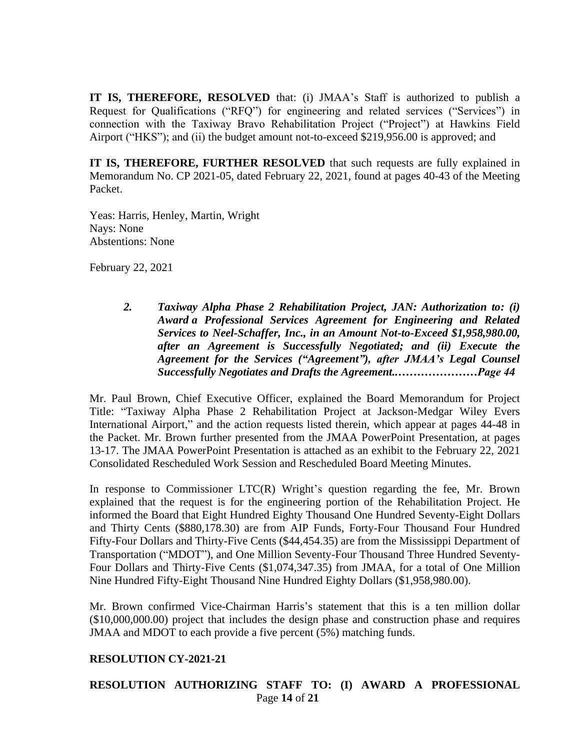**IT IS, THEREFORE, RESOLVED** that: (i) JMAA's Staff is authorized to publish a Request for Qualifications ("RFQ") for engineering and related services ("Services") in connection with the Taxiway Bravo Rehabilitation Project ("Project") at Hawkins Field Airport ("HKS"); and (ii) the budget amount not-to-exceed \$219,956.00 is approved; and

**IT IS, THEREFORE, FURTHER RESOLVED** that such requests are fully explained in Memorandum No. CP 2021-05, dated February 22, 2021, found at pages 40-43 of the Meeting Packet.

Yeas: Harris, Henley, Martin, Wright Nays: None Abstentions: None

February 22, 2021

*2. Taxiway Alpha Phase 2 Rehabilitation Project, JAN: Authorization to: (i) Award a Professional Services Agreement for Engineering and Related Services to Neel-Schaffer, Inc., in an Amount Not-to-Exceed \$1,958,980.00, after an Agreement is Successfully Negotiated; and (ii) Execute the Agreement for the Services ("Agreement"), after JMAA's Legal Counsel Successfully Negotiates and Drafts the Agreement..…………………Page 44*

Mr. Paul Brown, Chief Executive Officer, explained the Board Memorandum for Project Title: "Taxiway Alpha Phase 2 Rehabilitation Project at Jackson-Medgar Wiley Evers International Airport," and the action requests listed therein, which appear at pages 44-48 in the Packet. Mr. Brown further presented from the JMAA PowerPoint Presentation, at pages 13-17. The JMAA PowerPoint Presentation is attached as an exhibit to the February 22, 2021 Consolidated Rescheduled Work Session and Rescheduled Board Meeting Minutes.

In response to Commissioner LTC(R) Wright's question regarding the fee, Mr. Brown explained that the request is for the engineering portion of the Rehabilitation Project. He informed the Board that Eight Hundred Eighty Thousand One Hundred Seventy-Eight Dollars and Thirty Cents (\$880,178.30) are from AIP Funds, Forty-Four Thousand Four Hundred Fifty-Four Dollars and Thirty-Five Cents (\$44,454.35) are from the Mississippi Department of Transportation ("MDOT"), and One Million Seventy-Four Thousand Three Hundred Seventy-Four Dollars and Thirty-Five Cents (\$1,074,347.35) from JMAA, for a total of One Million Nine Hundred Fifty-Eight Thousand Nine Hundred Eighty Dollars (\$1,958,980.00).

Mr. Brown confirmed Vice-Chairman Harris's statement that this is a ten million dollar (\$10,000,000.00) project that includes the design phase and construction phase and requires JMAA and MDOT to each provide a five percent (5%) matching funds.

### **RESOLUTION CY-2021-21**

### Page **14** of **21 RESOLUTION AUTHORIZING STAFF TO: (I) AWARD A PROFESSIONAL**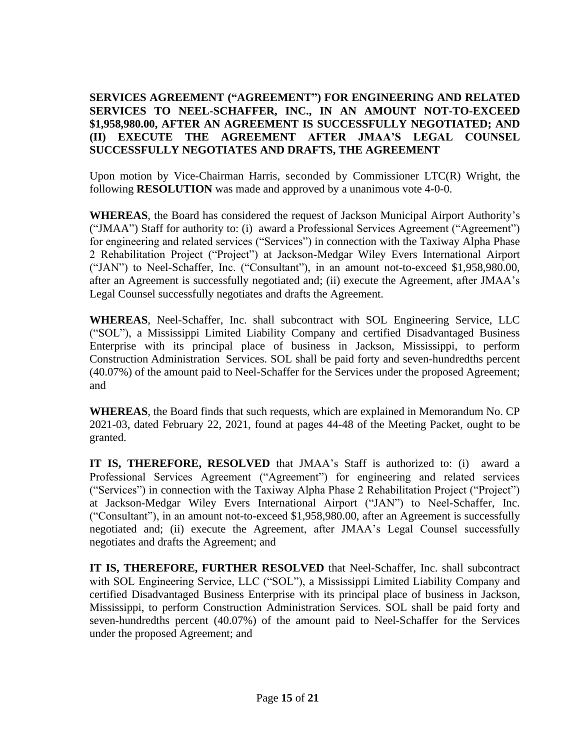### **SERVICES AGREEMENT ("AGREEMENT") FOR ENGINEERING AND RELATED SERVICES TO NEEL-SCHAFFER, INC., IN AN AMOUNT NOT-TO-EXCEED \$1,958,980.00, AFTER AN AGREEMENT IS SUCCESSFULLY NEGOTIATED; AND (II) EXECUTE THE AGREEMENT AFTER JMAA'S LEGAL COUNSEL SUCCESSFULLY NEGOTIATES AND DRAFTS, THE AGREEMENT**

Upon motion by Vice-Chairman Harris, seconded by Commissioner LTC(R) Wright, the following **RESOLUTION** was made and approved by a unanimous vote 4-0-0.

**WHEREAS**, the Board has considered the request of Jackson Municipal Airport Authority's ("JMAA") Staff for authority to: (i) award a Professional Services Agreement ("Agreement") for engineering and related services ("Services") in connection with the Taxiway Alpha Phase 2 Rehabilitation Project ("Project") at Jackson-Medgar Wiley Evers International Airport ("JAN") to Neel-Schaffer, Inc. ("Consultant"), in an amount not-to-exceed \$1,958,980.00, after an Agreement is successfully negotiated and; (ii) execute the Agreement, after JMAA's Legal Counsel successfully negotiates and drafts the Agreement.

**WHEREAS**, Neel-Schaffer, Inc. shall subcontract with SOL Engineering Service, LLC ("SOL"), a Mississippi Limited Liability Company and certified Disadvantaged Business Enterprise with its principal place of business in Jackson, Mississippi, to perform Construction Administration Services. SOL shall be paid forty and seven-hundredths percent (40.07%) of the amount paid to Neel-Schaffer for the Services under the proposed Agreement; and

**WHEREAS**, the Board finds that such requests, which are explained in Memorandum No. CP 2021-03, dated February 22, 2021, found at pages 44-48 of the Meeting Packet, ought to be granted.

**IT IS, THEREFORE, RESOLVED** that JMAA's Staff is authorized to: (i) award a Professional Services Agreement ("Agreement") for engineering and related services ("Services") in connection with the Taxiway Alpha Phase 2 Rehabilitation Project ("Project") at Jackson-Medgar Wiley Evers International Airport ("JAN") to Neel-Schaffer, Inc. ("Consultant"), in an amount not-to-exceed \$1,958,980.00, after an Agreement is successfully negotiated and; (ii) execute the Agreement, after JMAA's Legal Counsel successfully negotiates and drafts the Agreement; and

**IT IS, THEREFORE, FURTHER RESOLVED** that Neel-Schaffer, Inc. shall subcontract with SOL Engineering Service, LLC ("SOL"), a Mississippi Limited Liability Company and certified Disadvantaged Business Enterprise with its principal place of business in Jackson, Mississippi, to perform Construction Administration Services. SOL shall be paid forty and seven-hundredths percent (40.07%) of the amount paid to Neel-Schaffer for the Services under the proposed Agreement; and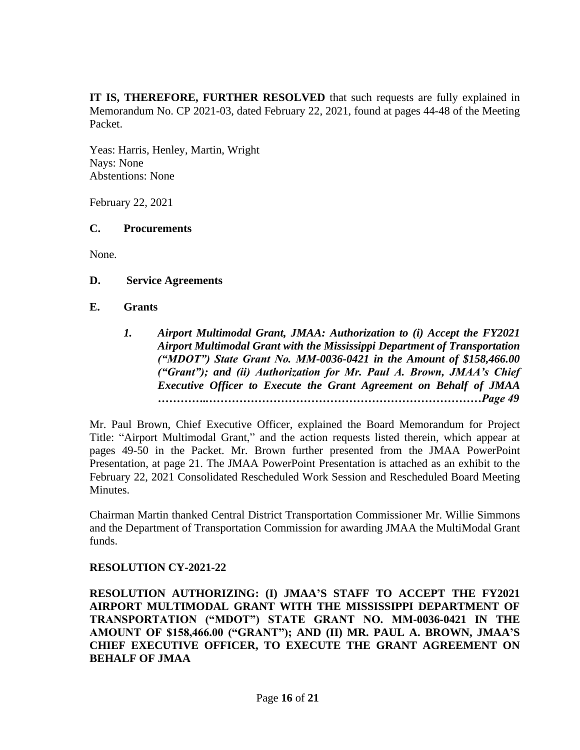**IT IS, THEREFORE, FURTHER RESOLVED** that such requests are fully explained in Memorandum No. CP 2021-03, dated February 22, 2021, found at pages 44-48 of the Meeting Packet.

Yeas: Harris, Henley, Martin, Wright Nays: None Abstentions: None

February 22, 2021

### **C. Procurements**

None.

**D. Service Agreements**

#### **E. Grants**

*1. Airport Multimodal Grant, JMAA: Authorization to (i) Accept the FY2021 Airport Multimodal Grant with the Mississippi Department of Transportation ("MDOT") State Grant No. MM-0036-0421 in the Amount of \$158,466.00 ("Grant"); and (ii) Authorization for Mr. Paul A. Brown, JMAA's Chief Executive Officer to Execute the Grant Agreement on Behalf of JMAA …………..………………………………………………………………Page 49*

Mr. Paul Brown, Chief Executive Officer, explained the Board Memorandum for Project Title: "Airport Multimodal Grant," and the action requests listed therein, which appear at pages 49-50 in the Packet. Mr. Brown further presented from the JMAA PowerPoint Presentation, at page 21. The JMAA PowerPoint Presentation is attached as an exhibit to the February 22, 2021 Consolidated Rescheduled Work Session and Rescheduled Board Meeting Minutes.

Chairman Martin thanked Central District Transportation Commissioner Mr. Willie Simmons and the Department of Transportation Commission for awarding JMAA the MultiModal Grant funds.

### **RESOLUTION CY-2021-22**

**RESOLUTION AUTHORIZING: (I) JMAA'S STAFF TO ACCEPT THE FY2021 AIRPORT MULTIMODAL GRANT WITH THE MISSISSIPPI DEPARTMENT OF TRANSPORTATION ("MDOT") STATE GRANT NO. MM-0036-0421 IN THE AMOUNT OF \$158,466.00 ("GRANT"); AND (II) MR. PAUL A. BROWN, JMAA'S CHIEF EXECUTIVE OFFICER, TO EXECUTE THE GRANT AGREEMENT ON BEHALF OF JMAA**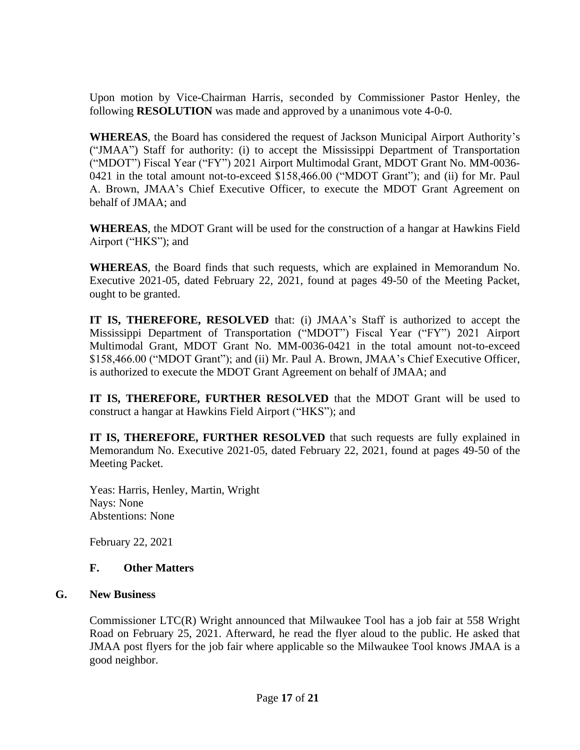Upon motion by Vice-Chairman Harris, seconded by Commissioner Pastor Henley, the following **RESOLUTION** was made and approved by a unanimous vote 4-0-0.

**WHEREAS**, the Board has considered the request of Jackson Municipal Airport Authority's ("JMAA") Staff for authority: (i) to accept the Mississippi Department of Transportation ("MDOT") Fiscal Year ("FY") 2021 Airport Multimodal Grant, MDOT Grant No. MM-0036- 0421 in the total amount not-to-exceed \$158,466.00 ("MDOT Grant"); and (ii) for Mr. Paul A. Brown, JMAA's Chief Executive Officer, to execute the MDOT Grant Agreement on behalf of JMAA; and

**WHEREAS**, the MDOT Grant will be used for the construction of a hangar at Hawkins Field Airport ("HKS"); and

**WHEREAS**, the Board finds that such requests, which are explained in Memorandum No. Executive 2021-05, dated February 22, 2021, found at pages 49-50 of the Meeting Packet, ought to be granted.

**IT IS, THEREFORE, RESOLVED** that: (i) JMAA's Staff is authorized to accept the Mississippi Department of Transportation ("MDOT") Fiscal Year ("FY") 2021 Airport Multimodal Grant, MDOT Grant No. MM-0036-0421 in the total amount not-to-exceed \$158,466.00 ("MDOT Grant"); and (ii) Mr. Paul A. Brown, JMAA's Chief Executive Officer, is authorized to execute the MDOT Grant Agreement on behalf of JMAA; and

**IT IS, THEREFORE, FURTHER RESOLVED** that the MDOT Grant will be used to construct a hangar at Hawkins Field Airport ("HKS"); and

**IT IS, THEREFORE, FURTHER RESOLVED** that such requests are fully explained in Memorandum No. Executive 2021-05, dated February 22, 2021, found at pages 49-50 of the Meeting Packet.

Yeas: Harris, Henley, Martin, Wright Nays: None Abstentions: None

February 22, 2021

### **F. Other Matters**

### **G. New Business**

Commissioner LTC(R) Wright announced that Milwaukee Tool has a job fair at 558 Wright Road on February 25, 2021. Afterward, he read the flyer aloud to the public. He asked that JMAA post flyers for the job fair where applicable so the Milwaukee Tool knows JMAA is a good neighbor.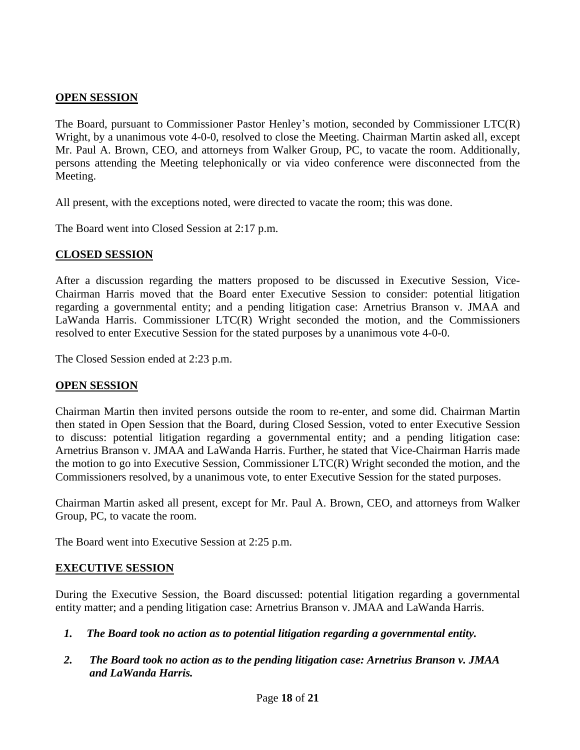### **OPEN SESSION**

The Board, pursuant to Commissioner Pastor Henley's motion, seconded by Commissioner LTC(R) Wright, by a unanimous vote 4-0-0, resolved to close the Meeting. Chairman Martin asked all, except Mr. Paul A. Brown, CEO, and attorneys from Walker Group, PC, to vacate the room. Additionally, persons attending the Meeting telephonically or via video conference were disconnected from the Meeting.

All present, with the exceptions noted, were directed to vacate the room; this was done.

The Board went into Closed Session at 2:17 p.m.

### **CLOSED SESSION**

After a discussion regarding the matters proposed to be discussed in Executive Session, Vice-Chairman Harris moved that the Board enter Executive Session to consider: potential litigation regarding a governmental entity; and a pending litigation case: Arnetrius Branson v. JMAA and LaWanda Harris. Commissioner LTC(R) Wright seconded the motion, and the Commissioners resolved to enter Executive Session for the stated purposes by a unanimous vote 4-0-0.

The Closed Session ended at 2:23 p.m.

### **OPEN SESSION**

Chairman Martin then invited persons outside the room to re-enter, and some did. Chairman Martin then stated in Open Session that the Board, during Closed Session, voted to enter Executive Session to discuss: potential litigation regarding a governmental entity; and a pending litigation case: Arnetrius Branson v. JMAA and LaWanda Harris. Further, he stated that Vice-Chairman Harris made the motion to go into Executive Session, Commissioner LTC(R) Wright seconded the motion, and the Commissioners resolved, by a unanimous vote, to enter Executive Session for the stated purposes.

Chairman Martin asked all present, except for Mr. Paul A. Brown, CEO, and attorneys from Walker Group, PC, to vacate the room.

The Board went into Executive Session at 2:25 p.m.

### **EXECUTIVE SESSION**

During the Executive Session, the Board discussed: potential litigation regarding a governmental entity matter; and a pending litigation case: Arnetrius Branson v. JMAA and LaWanda Harris.

- *1. The Board took no action as to potential litigation regarding a governmental entity.*
- *2. The Board took no action as to the pending litigation case: Arnetrius Branson v. JMAA and LaWanda Harris.*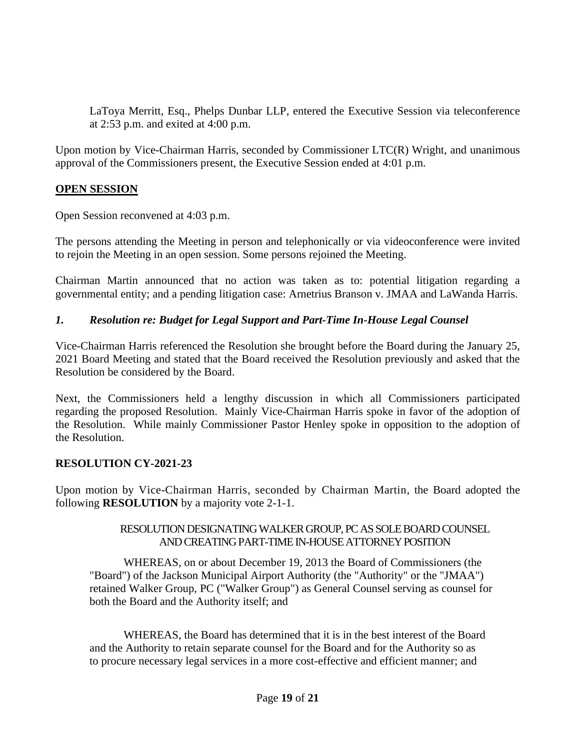LaToya Merritt, Esq., Phelps Dunbar LLP, entered the Executive Session via teleconference at 2:53 p.m. and exited at 4:00 p.m.

Upon motion by Vice-Chairman Harris, seconded by Commissioner LTC(R) Wright, and unanimous approval of the Commissioners present, the Executive Session ended at 4:01 p.m.

### **OPEN SESSION**

Open Session reconvened at 4:03 p.m.

The persons attending the Meeting in person and telephonically or via videoconference were invited to rejoin the Meeting in an open session. Some persons rejoined the Meeting.

Chairman Martin announced that no action was taken as to: potential litigation regarding a governmental entity; and a pending litigation case: Arnetrius Branson v. JMAA and LaWanda Harris.

### *1. Resolution re: Budget for Legal Support and Part-Time In-House Legal Counsel*

Vice-Chairman Harris referenced the Resolution she brought before the Board during the January 25, 2021 Board Meeting and stated that the Board received the Resolution previously and asked that the Resolution be considered by the Board.

Next, the Commissioners held a lengthy discussion in which all Commissioners participated regarding the proposed Resolution. Mainly Vice-Chairman Harris spoke in favor of the adoption of the Resolution. While mainly Commissioner Pastor Henley spoke in opposition to the adoption of the Resolution.

### **RESOLUTION CY-2021-23**

Upon motion by Vice-Chairman Harris, seconded by Chairman Martin, the Board adopted the following **RESOLUTION** by a majority vote 2-1-1.

### RESOLUTION DESIGNATING WALKER GROUP, PC AS SOLEBOARD COUNSEL AND CREATING PART-TIME IN-HOUSE ATTORNEY POSITION

WHEREAS, on or about December 19, 2013 the Board of Commissioners (the "Board") of the Jackson Municipal Airport Authority (the "Authority" or the "JMAA") retained Walker Group, PC ("Walker Group") as General Counsel serving as counsel for both the Board and the Authority itself; and

WHEREAS, the Board has determined that it is in the best interest of the Board and the Authority to retain separate counsel for the Board and for the Authority so as to procure necessary legal services in a more cost-effective and efficient manner; and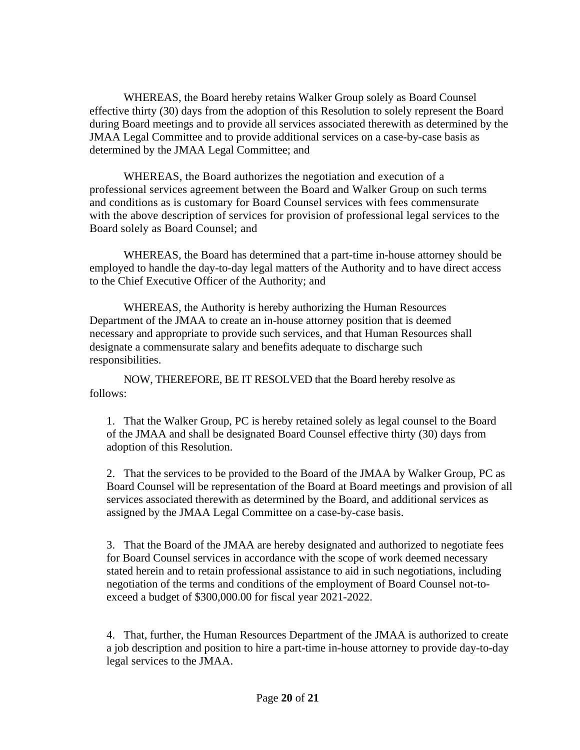WHEREAS, the Board hereby retains Walker Group solely as Board Counsel effective thirty (30) days from the adoption of this Resolution to solely represent the Board during Board meetings and to provide all services associated therewith as determined by the JMAA Legal Committee and to provide additional services on a case-by-case basis as determined by the JMAA Legal Committee; and

WHEREAS, the Board authorizes the negotiation and execution of a professional services agreement between the Board and Walker Group on such terms and conditions as is customary for Board Counsel services with fees commensurate with the above description of services for provision of professional legal services to the Board solely as Board Counsel; and

WHEREAS, the Board has determined that a part-time in-house attorney should be employed to handle the day-to-day legal matters of the Authority and to have direct access to the Chief Executive Officer of the Authority; and

WHEREAS, the Authority is hereby authorizing the Human Resources Department of the JMAA to create an in-house attorney position that is deemed necessary and appropriate to provide such services, and that Human Resources shall designate a commensurate salary and benefits adequate to discharge such responsibilities.

NOW, THEREFORE, BE IT RESOLVED that the Board hereby resolve as follows:

1. That the Walker Group, PC is hereby retained solely as legal counsel to the Board of the JMAA and shall be designated Board Counsel effective thirty (30) days from adoption of this Resolution.

2. That the services to be provided to the Board of the JMAA by Walker Group, PC as Board Counsel will be representation of the Board at Board meetings and provision of all services associated therewith as determined by the Board, and additional services as assigned by the JMAA Legal Committee on a case-by-case basis.

3. That the Board of the JMAA are hereby designated and authorized to negotiate fees for Board Counsel services in accordance with the scope of work deemed necessary stated herein and to retain professional assistance to aid in such negotiations, including negotiation of the terms and conditions of the employment of Board Counsel not-toexceed a budget of \$300,000.00 for fiscal year 2021-2022.

4. That, further, the Human Resources Department of the JMAA is authorized to create a job description and position to hire a part-time in-house attorney to provide day-to-day legal services to the JMAA.